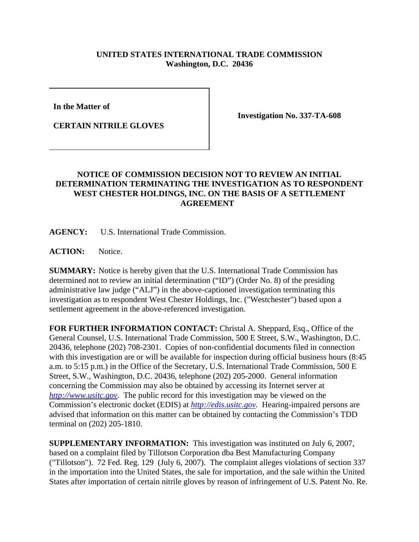## **UNITED STATES INTERNATIONAL TRADE COMMISSION Washington, D.C. 20436**

**In the Matter of** 

**CERTAIN NITRILE GLOVES**

**Investigation No. 337-TA-608**

## **NOTICE OF COMMISSION DECISION NOT TO REVIEW AN INITIAL DETERMINATION TERMINATING THE INVESTIGATION AS TO RESPONDENT WEST CHESTER HOLDINGS, INC. ON THE BASIS OF A SETTLEMENT AGREEMENT**

**AGENCY:** U.S. International Trade Commission.

**ACTION:** Notice.

**SUMMARY:** Notice is hereby given that the U.S. International Trade Commission has determined not to review an initial determination ("ID") (Order No. 8) of the presiding administrative law judge ("ALJ") in the above-captioned investigation terminating this investigation as to respondent West Chester Holdings, Inc. ("Westchester") based upon a settlement agreement in the above-referenced investigation.

**FOR FURTHER INFORMATION CONTACT:** Christal A. Sheppard, Esq., Office of the General Counsel, U.S. International Trade Commission, 500 E Street, S.W., Washington, D.C. 20436, telephone (202) 708-2301. Copies of non-confidential documents filed in connection with this investigation are or will be available for inspection during official business hours (8:45) a.m. to 5:15 p.m.) in the Office of the Secretary, U.S. International Trade Commission, 500 E Street, S.W., Washington, D.C. 20436, telephone (202) 205-2000. General information concerning the Commission may also be obtained by accessing its Internet server at *http://www.usitc.gov*. The public record for this investigation may be viewed on the Commission's electronic docket (EDIS) at *http://edis.usitc.gov*. Hearing-impaired persons are advised that information on this matter can be obtained by contacting the Commission's TDD terminal on (202) 205-1810.

**SUPPLEMENTARY INFORMATION:** This investigation was instituted on July 6, 2007, based on a complaint filed by Tillotson Corporation dba Best Manufacturing Company ("Tillotson"). 72 Fed. Reg. 129 (July 6, 2007). The complaint alleges violations of section 337 in the importation into the United States, the sale for importation, and the sale within the United States after importation of certain nitrile gloves by reason of infringement of U.S. Patent No. Re.